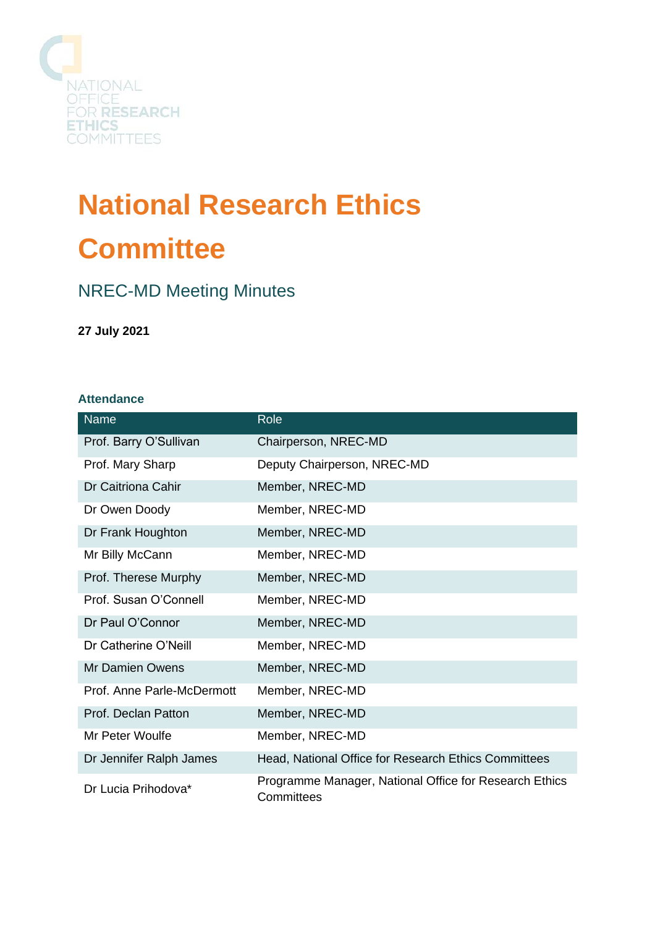

# **National Research Ethics Committee**

## NREC-MD Meeting Minutes

**27 July 2021**

#### **Attendance**

| <b>Name</b>                | Role                                                                 |
|----------------------------|----------------------------------------------------------------------|
| Prof. Barry O'Sullivan     | Chairperson, NREC-MD                                                 |
| Prof. Mary Sharp           | Deputy Chairperson, NREC-MD                                          |
| Dr Caitriona Cahir         | Member, NREC-MD                                                      |
| Dr Owen Doody              | Member, NREC-MD                                                      |
| Dr Frank Houghton          | Member, NREC-MD                                                      |
| Mr Billy McCann            | Member, NREC-MD                                                      |
| Prof. Therese Murphy       | Member, NREC-MD                                                      |
| Prof. Susan O'Connell      | Member, NREC-MD                                                      |
| Dr Paul O'Connor           | Member, NREC-MD                                                      |
| Dr Catherine O'Neill       | Member, NREC-MD                                                      |
| <b>Mr Damien Owens</b>     | Member, NREC-MD                                                      |
| Prof. Anne Parle-McDermott | Member, NREC-MD                                                      |
| Prof. Declan Patton        | Member, NREC-MD                                                      |
| Mr Peter Woulfe            | Member, NREC-MD                                                      |
| Dr Jennifer Ralph James    | Head, National Office for Research Ethics Committees                 |
| Dr Lucia Prihodova*        | Programme Manager, National Office for Research Ethics<br>Committees |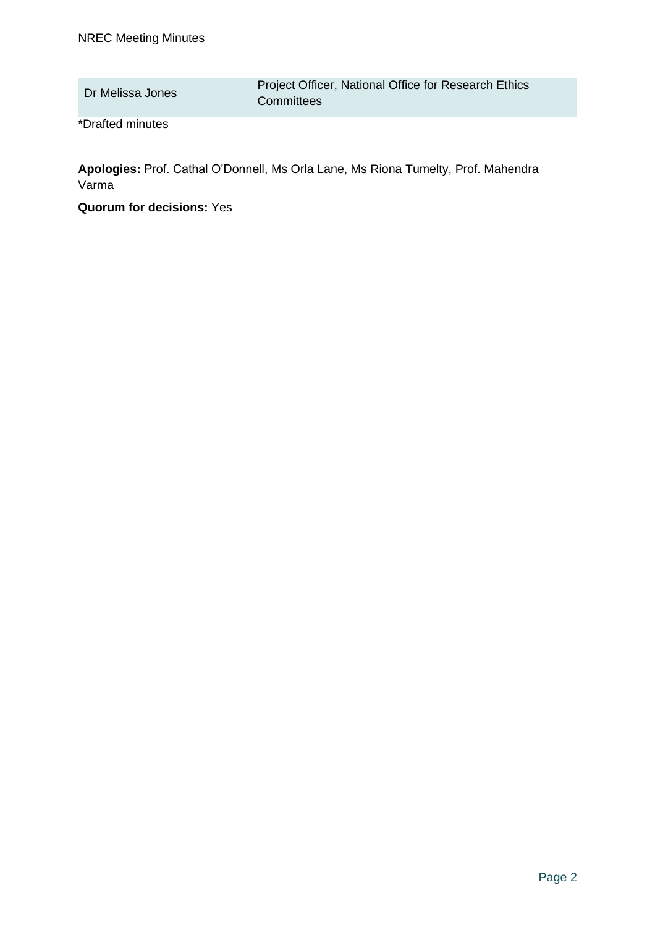\*Drafted minutes

**Apologies:** Prof. Cathal O'Donnell, Ms Orla Lane, Ms Riona Tumelty, Prof. Mahendra Varma

**Quorum for decisions:** Yes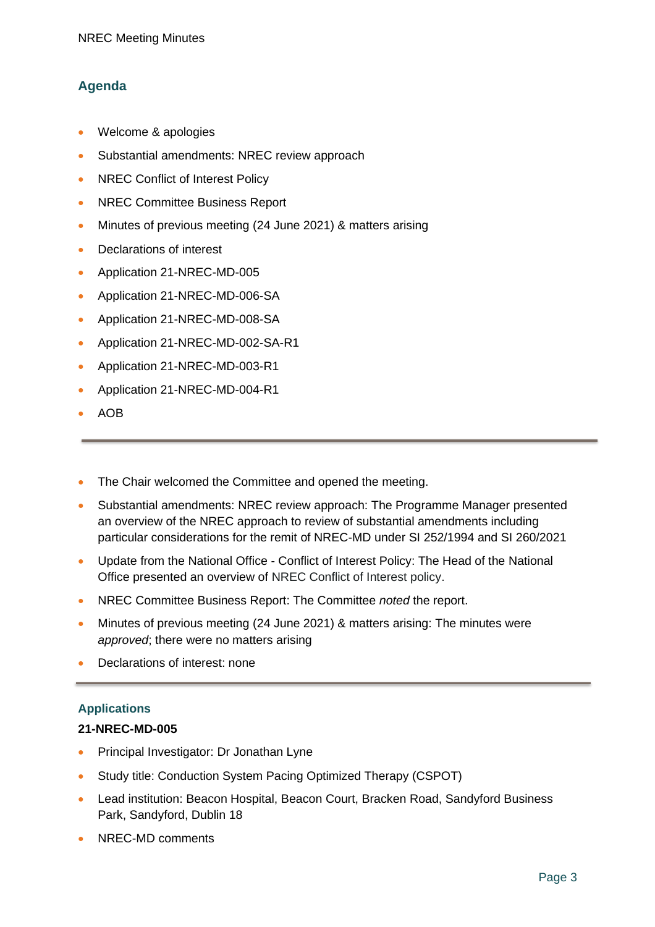### **Agenda**

- Welcome & apologies
- Substantial amendments: NREC review approach
- NREC Conflict of Interest Policy
- NREC Committee Business Report
- Minutes of previous meeting (24 June 2021) & matters arising
- Declarations of interest
- Application 21-NREC-MD-005
- Application 21-NREC-MD-006-SA
- Application 21-NREC-MD-008-SA
- Application 21-NREC-MD-002-SA-R1
- Application 21-NREC-MD-003-R1
- Application 21-NREC-MD-004-R1
- AOB
- The Chair welcomed the Committee and opened the meeting.
- Substantial amendments: NREC review approach: The Programme Manager presented an overview of the NREC approach to review of substantial amendments including particular considerations for the remit of NREC-MD under SI 252/1994 and SI 260/2021
- Update from the National Office Conflict of Interest Policy: The Head of the National Office presented an overview of NREC Conflict of Interest policy.
- NREC Committee Business Report: The Committee *noted* the report.
- Minutes of previous meeting (24 June 2021) & matters arising: The minutes were *approved*; there were no matters arising
- Declarations of interest: none

#### **Applications**

#### **21-NREC-MD-005**

- Principal Investigator: Dr Jonathan Lyne
- Study title: Conduction System Pacing Optimized Therapy (CSPOT)
- Lead institution: Beacon Hospital, Beacon Court, Bracken Road, Sandyford Business Park, Sandyford, Dublin 18
- NREC-MD comments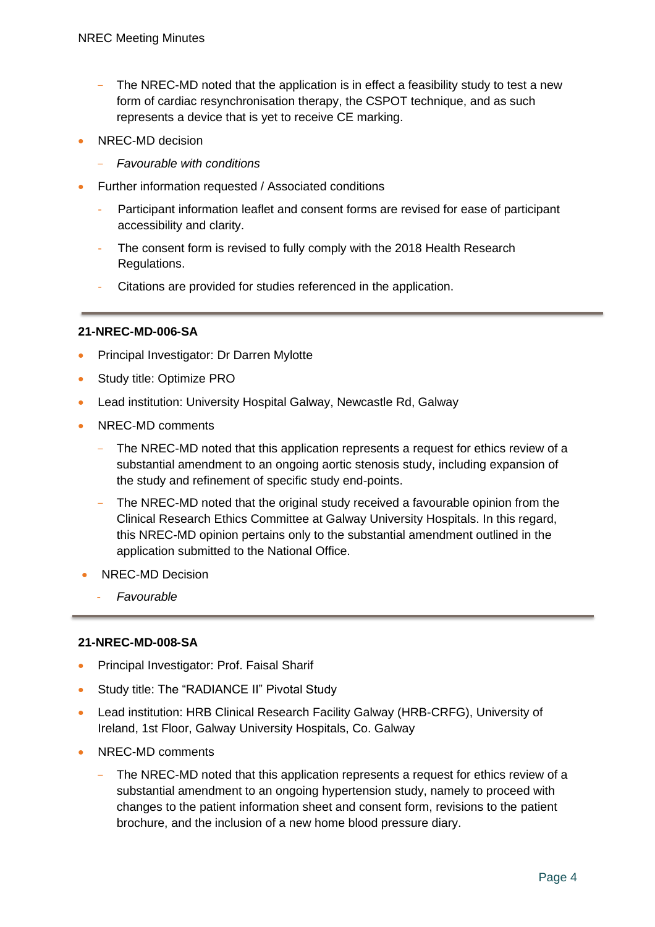- The NREC-MD noted that the application is in effect a feasibility study to test a new form of cardiac resynchronisation therapy, the CSPOT technique, and as such represents a device that is yet to receive CE marking.
- NREC-MD decision
	- *Favourable with conditions*
- Further information requested / Associated conditions
	- Participant information leaflet and consent forms are revised for ease of participant accessibility and clarity.
	- The consent form is revised to fully comply with the 2018 Health Research Regulations.
	- Citations are provided for studies referenced in the application.

#### **21-NREC-MD-006-SA**

- Principal Investigator: Dr Darren Mylotte
- Study title: Optimize PRO
- Lead institution: University Hospital Galway, Newcastle Rd, Galway
- NREC-MD comments
	- The NREC-MD noted that this application represents a request for ethics review of a substantial amendment to an ongoing aortic stenosis study, including expansion of the study and refinement of specific study end-points.
	- The NREC-MD noted that the original study received a favourable opinion from the Clinical Research Ethics Committee at Galway University Hospitals. In this regard, this NREC-MD opinion pertains only to the substantial amendment outlined in the application submitted to the National Office.
- NREC-MD Decision
	- *Favourable*

#### **21-NREC-MD-008-SA**

- Principal Investigator: Prof. Faisal Sharif
- Study title: The "RADIANCE II" Pivotal Study
- Lead institution: HRB Clinical Research Facility Galway (HRB-CRFG), University of Ireland, 1st Floor, Galway University Hospitals, Co. Galway
- NREC-MD comments
	- The NREC-MD noted that this application represents a request for ethics review of a substantial amendment to an ongoing hypertension study, namely to proceed with changes to the patient information sheet and consent form, revisions to the patient brochure, and the inclusion of a new home blood pressure diary.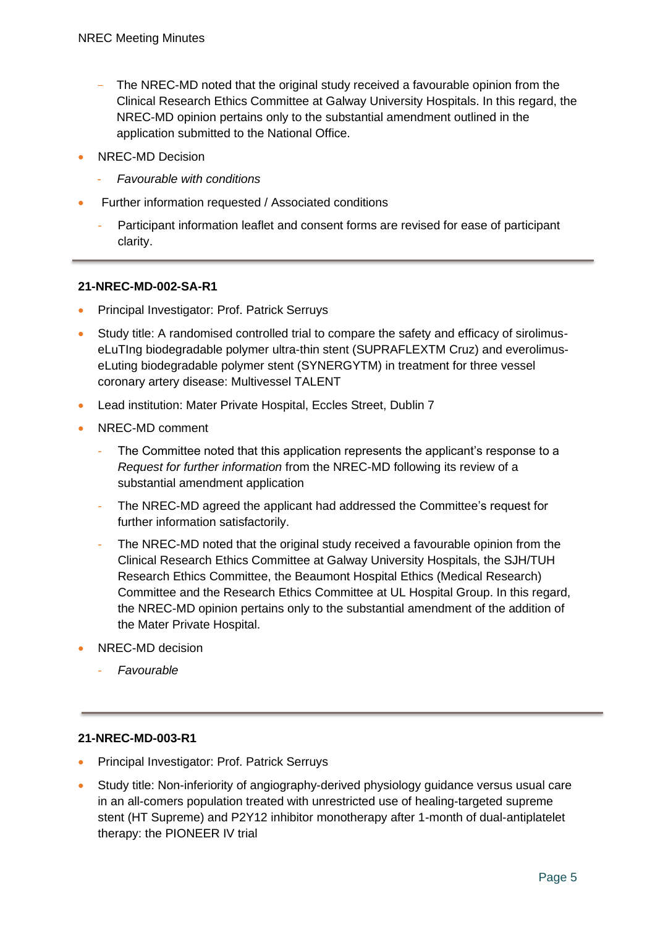- The NREC-MD noted that the original study received a favourable opinion from the Clinical Research Ethics Committee at Galway University Hospitals. In this regard, the NREC-MD opinion pertains only to the substantial amendment outlined in the application submitted to the National Office.
- NREC-MD Decision
	- *Favourable with conditions*
- Further information requested / Associated conditions
	- Participant information leaflet and consent forms are revised for ease of participant clarity.

#### **21-NREC-MD-002-SA-R1**

- Principal Investigator: Prof. Patrick Serruys
- Study title: A randomised controlled trial to compare the safety and efficacy of sirolimuseLuTIng biodegradable polymer ultra-thin stent (SUPRAFLEXTM Cruz) and everolimuseLuting biodegradable polymer stent (SYNERGYTM) in treatment for three vessel coronary artery disease: Multivessel TALENT
- Lead institution: Mater Private Hospital, Eccles Street, Dublin 7
- NREC-MD comment
	- The Committee noted that this application represents the applicant's response to a *Request for further information* from the NREC-MD following its review of a substantial amendment application
	- The NREC-MD agreed the applicant had addressed the Committee's request for further information satisfactorily.
	- The NREC-MD noted that the original study received a favourable opinion from the Clinical Research Ethics Committee at Galway University Hospitals, the SJH/TUH Research Ethics Committee, the Beaumont Hospital Ethics (Medical Research) Committee and the Research Ethics Committee at UL Hospital Group. In this regard, the NREC-MD opinion pertains only to the substantial amendment of the addition of the Mater Private Hospital.
- NREC-MD decision
	- *Favourable*

#### **21-NREC-MD-003-R1**

- Principal Investigator: Prof. Patrick Serruys
- Study title: Non-inferiority of angiography-derived physiology guidance versus usual care in an all-comers population treated with unrestricted use of healing-targeted supreme stent (HT Supreme) and P2Y12 inhibitor monotherapy after 1-month of dual-antiplatelet therapy: the PIONEER IV trial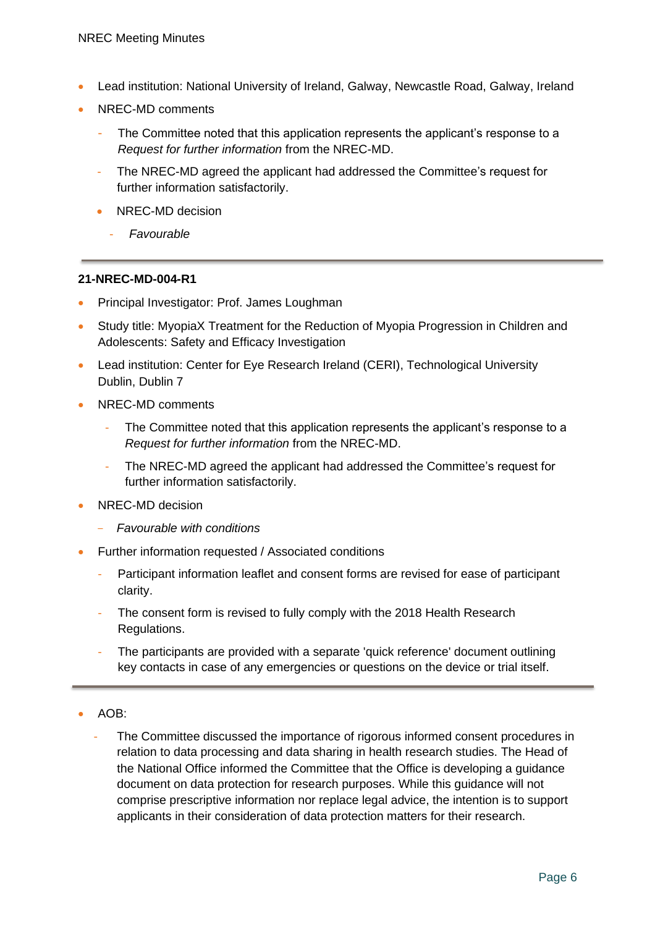- Lead institution: National University of Ireland, Galway, Newcastle Road, Galway, Ireland
- NREC-MD comments
	- The Committee noted that this application represents the applicant's response to a *Request for further information* from the NREC-MD.
	- The NREC-MD agreed the applicant had addressed the Committee's request for further information satisfactorily.
	- NREC-MD decision
		- *Favourable*

#### **21-NREC-MD-004-R1**

- Principal Investigator: Prof. James Loughman
- Study title: MyopiaX Treatment for the Reduction of Myopia Progression in Children and Adolescents: Safety and Efficacy Investigation
- Lead institution: Center for Eye Research Ireland (CERI), Technological University Dublin, Dublin 7
- NREC-MD comments
	- The Committee noted that this application represents the applicant's response to a *Request for further information* from the NREC-MD.
	- The NREC-MD agreed the applicant had addressed the Committee's request for further information satisfactorily.
- NREC-MD decision
	- *Favourable with conditions*
- Further information requested / Associated conditions
	- Participant information leaflet and consent forms are revised for ease of participant clarity.
	- The consent form is revised to fully comply with the 2018 Health Research Regulations.
	- The participants are provided with a separate 'quick reference' document outlining key contacts in case of any emergencies or questions on the device or trial itself.
- AOB:
	- The Committee discussed the importance of rigorous informed consent procedures in relation to data processing and data sharing in health research studies. The Head of the National Office informed the Committee that the Office is developing a guidance document on data protection for research purposes. While this guidance will not comprise prescriptive information nor replace legal advice, the intention is to support applicants in their consideration of data protection matters for their research.